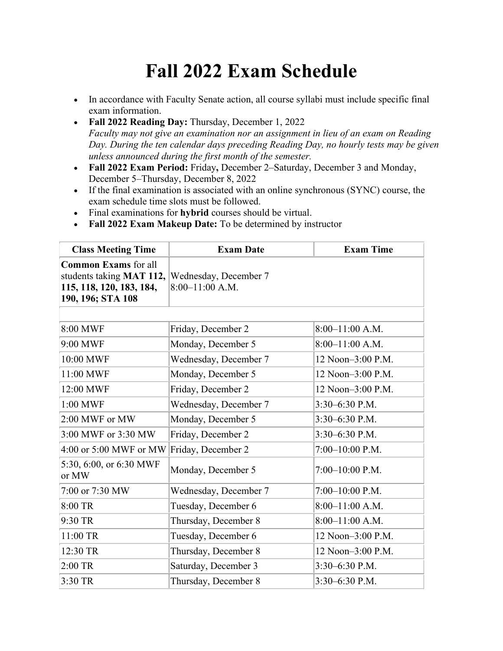## **Fall 2022 Exam Schedule**

- In accordance with Faculty Senate action, all course syllabi must include specific final exam information.
- **Fall 2022 Reading Day:** Thursday, December 1, 2022 *Faculty may not give an examination nor an assignment in lieu of an exam on Reading Day. During the ten calendar days preceding Reading Day, no hourly tests may be given unless announced during the first month of the semester.*
- **Fall 2022 Exam Period:** Friday**,** December 2–Saturday, December 3 and Monday, December 5–Thursday, December 8, 2022
- If the final examination is associated with an online synchronous (SYNC) course, the exam schedule time slots must be followed.
- Final examinations for **hybrid** courses should be virtual.
- **Fall 2022 Exam Makeup Date:** To be determined by instructor

| <b>Class Meeting Time</b>                                                                                | <b>Exam Date</b>                           | <b>Exam Time</b>  |
|----------------------------------------------------------------------------------------------------------|--------------------------------------------|-------------------|
| <b>Common Exams</b> for all<br>students taking MAT 112,<br>115, 118, 120, 183, 184,<br>190, 196; STA 108 | Wednesday, December 7<br>$8:00-11:00$ A.M. |                   |
|                                                                                                          |                                            |                   |
| 8:00 MWF                                                                                                 | Friday, December 2                         | $8:00-11:00$ A.M. |
| 9:00 MWF                                                                                                 | Monday, December 5                         | $8:00-11:00$ A.M. |
| 10:00 MWF                                                                                                | Wednesday, December 7                      | 12 Noon-3:00 P.M. |
| 11:00 MWF                                                                                                | Monday, December 5                         | 12 Noon-3:00 P.M. |
| 12:00 MWF                                                                                                | Friday, December 2                         | 12 Noon-3:00 P.M. |
| 1:00 MWF                                                                                                 | Wednesday, December 7                      | $3:30-6:30$ P.M.  |
| 2:00 MWF or MW                                                                                           | Monday, December 5                         | 3:30-6:30 P.M.    |
| 3:00 MWF or 3:30 MW                                                                                      | Friday, December 2                         | 3:30-6:30 P.M.    |
| 4:00 or 5:00 MWF or MW                                                                                   | Friday, December 2                         | $7:00-10:00$ P.M. |
| 5:30, 6:00, or 6:30 MWF<br>or MW                                                                         | Monday, December 5                         | $7:00-10:00$ P.M. |
| 7:00 or 7:30 MW                                                                                          | Wednesday, December 7                      | $7:00-10:00$ P.M. |
| 8:00 TR                                                                                                  | Tuesday, December 6                        | $8:00-11:00$ A.M. |
| 9:30 TR                                                                                                  | Thursday, December 8                       | $8:00-11:00$ A.M. |
| 11:00 TR                                                                                                 | Tuesday, December 6                        | 12 Noon-3:00 P.M. |
| 12:30 TR                                                                                                 | Thursday, December 8                       | 12 Noon-3:00 P.M. |
| $2:00$ TR                                                                                                | Saturday, December 3                       | 3:30-6:30 P.M.    |
| 3:30 TR                                                                                                  | Thursday, December 8                       | 3:30-6:30 P.M.    |